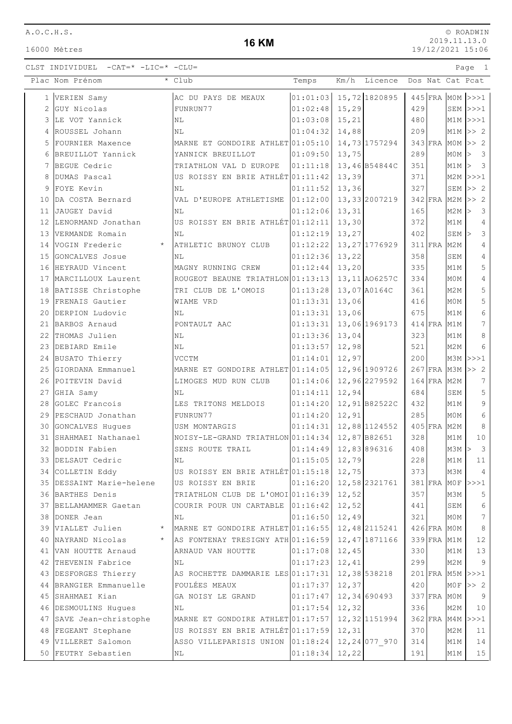16000 Mètres

# **16 KM**

|              | Plac Nom Prénom            | * Club                            | Temps              | Km/h   | Licence        |     |             |                  | Dos Nat Cat Pcat        |
|--------------|----------------------------|-----------------------------------|--------------------|--------|----------------|-----|-------------|------------------|-------------------------|
| $\mathbf{1}$ | VERIEN Samy                | AC DU PAYS DE MEAUX               | 01:01:03           |        | 15,72 1820895  |     |             |                  | $445$ FRA MOM >>>1      |
| 2            | GUY Nicolas                | FUNRUN77                          | 01:02:48           | 15, 29 |                | 429 |             |                  | $SEM$ $>>$ $1$          |
| 3            | LE VOT Yannick             | NL                                | 01:03:08           | 15,21  |                | 480 |             |                  | $M1M$ $>>$ $1$          |
| 4            | ROUSSEL Johann             | NL                                | 01:04:32           | 14,88  |                | 209 |             |                  | $M1M \gg 2$             |
| 5            | FOURNIER Maxence           | MARNE ET GONDOIRE ATHLET 01:05:10 |                    |        | 14,73 1757294  |     | 343 FRA     |                  | $MOM$ >> 2              |
| 6            | BREUILLOT Yannick          | YANNICK BREUILLOT                 | 01:09:50           | 13,75  |                | 289 |             | $MOM$ >          | $\overline{\mathbf{3}}$ |
| 7            | BEGUE Cedric               | TRIATHLON VAL D EUROPE            | 01:11:18           |        | 13,46 B54844C  | 351 |             |                  | M1M > 3                 |
| 8            | DUMAS Pascal               | US ROISSY EN BRIE ATHLÉT 01:11:42 |                    | 13,39  |                | 371 |             |                  | $M2M$ $>>$ 1            |
| 9            | FOYE Kevin                 | NL                                | 01:11:52           | 13, 36 |                | 327 |             | SEM              | >> 2                    |
| 10           | DA COSTA Bernard           | VAL D'EUROPE ATHLETISME           | 01:12:00           |        | 13, 33 2007219 |     | $342$ FRA   |                  | $M2M$ >> 2              |
| 11           | JAUGEY David               | NL                                | 01:12:06           | 13,31  |                | 165 |             | $M2M$ >          | $\overline{\mathbf{3}}$ |
| 12           | LENORMAND Jonathan         | US ROISSY EN BRIE ATHLÉT 01:12:11 |                    | 13,30  |                | 372 |             | M1M              | $\overline{4}$          |
| 13           | VERMANDE Romain            | NL                                | 01:12:19           | 13,27  |                | 402 |             | SEM              | $\mathsf 3$             |
| 14           | VOGIN Frederic<br>$\star$  | ATHLETIC BRUNOY CLUB              | 01:12:22           |        | 13, 27 1776929 |     | 311 FRA     | M <sub>2M</sub>  | 4                       |
| 15           | GONCALVES Josue            | NL                                | 01:12:36           | 13,22  |                | 358 |             | SEM              | $\overline{4}$          |
| 16           | HEYRAUD Vincent            | MAGNY RUNNING CREW                | 01:12:44           | 13,20  |                | 335 |             | M1M              | 5                       |
|              | 17  MARCILLOUX Laurent     | ROUGEOT BEAUNE TRIATHLON 01:13:13 |                    |        | 13, 11 A06257C | 334 |             | M0M              | $\overline{4}$          |
|              | 18 BATISSE Christophe      | TRI CLUB DE L'OMOIS               | 01:13:28           |        | 13,07 A0164C   | 361 |             | M2M              | 5                       |
| 19           | FRENAIS Gautier            | WIAME VRD                         | 01:13:31           | 13,06  |                | 416 |             | M0M              | 5                       |
| 20           | DERPION Ludovic            | NL                                | 01:13:31           | 13,06  |                | 675 |             | M1M              | 6                       |
| 21           | BARBOS Arnaud              | PONTAULT AAC                      | 01:13:31           |        | 13,06 1969173  |     | $414$ FRA   | M1M              | 7                       |
| 22           | THOMAS Julien              | NL                                | 01:13:36           | 13,04  |                | 323 |             | M1M              | $\,8\,$                 |
| 23           | DEBIARD Emile              | NL                                | 01:13:57           | 12,98  |                | 521 |             | M <sub>2M</sub>  | 6                       |
|              | 24 BUSATO Thierry          | <b>VCCTM</b>                      | 01:14:01           | 12,97  |                | 200 |             |                  | $M3M$ $>>$ 2            |
| 25           | GIORDANA Emmanuel          | MARNE ET GONDOIRE ATHLET 01:14:05 |                    |        | 12,96 1909726  |     |             |                  | 267 FRA M3M >> 2        |
| 26           | POITEVIN David             | LIMOGES MUD RUN CLUB              | 01:14:06           |        | 12,96 2279592  |     | 164 FRA     | M2M              | 7                       |
| 27           | GHIA Samy                  | ΝL                                | 01:14:11           | 12,94  |                | 684 |             | SEM              | $\mathsf S$             |
| 28           | GOLEC Francois             | LES TRITONS MELDOIS               | 01:14:20           |        | 12,91B82522C   | 432 |             | M1M              | 9                       |
| 29           | PESCHAUD Jonathan          | FUNRUN77                          | 01:14:20           | 12,91  |                | 285 |             | M <sub>0</sub> M | 6                       |
| 30           | GONCALVES Hugues           | USM MONTARGIS                     | 01:14:31           |        | 12,88 1124552  |     | 405 FRA     | M <sub>2</sub> M | 8                       |
| 31           | SHAHMAEI Nathanael         | NOISY-LE-GRAND TRIATHLON 01:14:34 |                    |        | 12,87B82651    | 328 |             | M1M              | 10                      |
| 32           | BODDIN Fabien              | SENS ROUTE TRAIL                  | 01:14:49           |        | 12,83 896316   | 408 |             | $M3M$ >          | $\overline{3}$          |
|              | 33 DELSAUT Cedric          | NL                                | $ 01:15:05 $ 12,79 |        |                | 228 |             | M1M              | 11                      |
|              | 34 COLLETIN Eddy           | US ROISSY EN BRIE ATHLÉT 01:15:18 |                    | 12,75  |                | 373 |             | M3M              | $\overline{4}$          |
|              | 35 DESSAINT Marie-helene   | US ROISSY EN BRIE                 | 01:16:20           |        | 12,58 2321761  |     |             |                  | 381 FRA MOF >>>1        |
|              | 36 BARTHES Denis           | TRIATHLON CLUB DE L'OMOI 01:16:39 |                    | 12,52  |                | 357 |             | M3M              | 5                       |
| 37           | BELLAMAMMER Gaetan         | COURIR POUR UN CARTABLE 01:16:42  |                    | 12,52  |                | 441 |             | SEM              | $\epsilon$              |
| 38           | DONER Jean                 | NL                                | 01:16:50           | 12,49  |                | 321 |             | MOM              | $\sqrt{ }$              |
| 39           | VIALLET Julien<br>$\star$  | MARNE ET GONDOIRE ATHLET 01:16:55 |                    |        | 12,48 2115241  |     | 426 FRA     | M0M              | $\,8\,$                 |
| 40           | NAYRAND Nicolas<br>$\star$ | AS FONTENAY TRESIGNY ATH 01:16:59 |                    |        | 12, 47 1871166 |     |             | 339 FRA M1M      | 12                      |
|              | 41 VAN HOUTTE Arnaud       | ARNAUD VAN HOUTTE                 | 01:17:08           | 12,45  |                | 330 |             | M1M              | 13                      |
|              | 42 THEVENIN Fabrice        | NL                                | 01:17:23           | 12,41  |                | 299 |             | M2M              | 9                       |
| 43           | DESFORGES Thierry          | AS ROCHETTE DAMMARIE LES 01:17:31 |                    |        | 12,38 538218   |     |             |                  | 201 FRA M5M >>>1        |
|              | 44 BRANGIER Emmanuelle     | FOULÉES MEAUX                     | 01:17:37           | 12,37  |                | 420 |             |                  | $MOF$ >> 2              |
|              | 45 SHAHMAEI Kian           | GA NOISY LE GRAND                 | 01:17:47           |        | 12,34 690493   |     | 337 FRA MOM |                  | 9                       |
| 46           | DESMOULINS Hugues          | NL                                | 01:17:54           | 12, 32 |                | 336 |             | M2M              | 10                      |
| 47           | SAVE Jean-christophe       | MARNE ET GONDOIRE ATHLET 01:17:57 |                    |        | 12, 32 1151994 |     | 362 FRA     |                  | $M4M \rightarrow >> 1$  |
| 48           | FEGEANT Stephane           | US ROISSY EN BRIE ATHLÉT 01:17:59 |                    | 12, 31 |                | 370 |             | M <sub>2M</sub>  | 11                      |
| 49           | VILLERET Salomon           | ASSO VILLEPARISIS UNION 01:18:24  |                    |        | 12, 24 077 970 | 314 |             | M1M              | 14                      |
|              | 50 FEUTRY Sebastien        | NL                                | 01:18:34           | 12,22  |                | 191 |             | M1M              | $15\,$                  |
|              |                            |                                   |                    |        |                |     |             |                  |                         |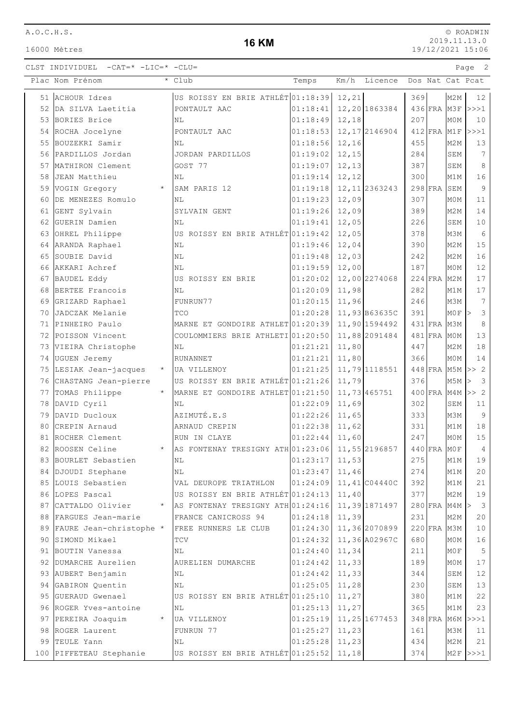16000 Mètres

### **16 KM**

© ROADWIN 2019.11.13.0 19/12/2021 15:06

|    | Plac Nom Prénom            |         | * Club                            | Temps    |        | Km/h Licence   |     |             |                  | Dos Nat Cat Pcat |
|----|----------------------------|---------|-----------------------------------|----------|--------|----------------|-----|-------------|------------------|------------------|
|    | 51 ACHOUR Idres            |         | US ROISSY EN BRIE ATHLÉT 01:18:39 |          | 12, 21 |                | 369 |             | M2M              | 12               |
|    | 52 DA SILVA Laetitia       |         | PONTAULT AAC                      | 01:18:41 |        | 12, 20 1863384 |     |             | 436 FRA M3F      | >>>1             |
|    | 53 BORIES Brice            |         | NL                                | 01:18:49 | 12,18  |                | 207 |             | M0M              | 10               |
|    | 54 ROCHA Jocelyne          |         | PONTAULT AAC                      | 01:18:53 |        | 12, 17 2146904 |     | 412 FRA M1F |                  | >>>1             |
| 55 | BOUZEKRI Samir             |         | NL                                | 01:18:56 | 12,16  |                | 455 |             | M2M              | 13               |
|    | 56 PARDILLOS Jordan        |         | JORDAN PARDILLOS                  | 01:19:02 | 12,15  |                | 284 |             | SEM              | $7\phantom{.0}$  |
|    | 57 MATHIRON Clement        |         | GOST 77                           | 01:19:07 | 12,13  |                | 387 |             | SEM              | 8                |
| 58 | JEAN Matthieu              |         | NL                                | 01:19:14 | 12,12  |                | 300 |             | M1M              | 16               |
| 59 | VOGIN Gregory              |         | SAM PARIS 12                      | 01:19:18 |        | 12, 11 2363243 |     | 298 FRA     | SEM              | $\overline{9}$   |
| 60 | DE MENEZES Romulo          |         | NL                                | 01:19:23 | 12,09  |                | 307 |             | M0M              | 11               |
| 61 | GENT Sylvain               |         | SYLVAIN GENT                      | 01:19:26 | 12,09  |                | 389 |             | M <sub>2M</sub>  | 14               |
| 62 | GUERIN Damien              |         | NL                                | 01:19:41 | 12,05  |                | 226 |             | SEM              | 10               |
|    | 63 OHREL Philippe          |         | US ROISSY EN BRIE ATHLÉT 01:19:42 |          | 12,05  |                | 378 |             | M3M              | 6                |
|    | 64 ARANDA Raphael          |         | NL                                | 01:19:46 | 12,04  |                | 390 |             | M2M              | 15               |
| 65 | SOUBIE David               |         | N <sub>L</sub>                    | 01:19:48 | 12,03  |                | 242 |             | M2M              | 16               |
|    | 66 AKKARI Achref           |         | N <sub>L</sub>                    | 01:19:59 | 12,00  |                | 187 |             | M0M              | $12$             |
|    | 67 BAUDEL Eddy             |         | US ROISSY EN BRIE                 | 01:20:02 |        | 12,00 2274068  |     | 224 FRA M2M |                  | 17               |
| 68 | BERTEE Francois            |         | NL                                | 01:20:09 | 11,98  |                | 282 |             | M1M              | 17               |
| 69 | GRIZARD Raphael            |         | FUNRUN77                          | 01:20:15 | 11,96  |                | 246 |             | M3M              | $7\phantom{.0}$  |
| 70 | JADCZAK Melanie            |         | TCO                               | 01:20:28 |        | 11,93 B63635C  | 391 |             | MOF              | 3                |
| 71 | PINHEIRO Paulo             |         | MARNE ET GONDOIRE ATHLET 01:20:39 |          |        | 11,90 1594492  |     | 431 FRA M3M |                  | 8                |
|    | 72 POISSON Vincent         |         | COULOMMIERS BRIE ATHLETI 01:20:50 |          |        | 11,88 2091484  |     | 481 FRA MOM |                  | 13               |
|    | 73 VIEIRA Christophe       |         | NL                                | 01:21:21 | 11,80  |                | 447 |             | M <sub>2</sub> M | 18               |
|    | 74 UGUEN Jeremy            |         | RUNANNET                          | 01:21:21 | 11,80  |                | 366 |             | MOM              | 14               |
|    | 75 LESIAK Jean-jacques     | $\star$ | UA VILLENOY                       | 01:21:25 |        | 11,79 1118551  |     |             | 448 FRA M5M      | >> 2             |
|    | 76 CHASTANG Jean-pierre    |         | US ROISSY EN BRIE ATHLÉT 01:21:26 |          | 11,79  |                | 376 |             | M5M              | $\mathcal{S}$    |
|    | 77 TOMAS Philippe          |         | MARNE ET GONDOIRE ATHLET 01:21:50 |          |        | 11,73 465751   |     |             | 400 FRA M4M      | >> 2             |
| 78 | DAVID Cyril                |         | NL                                | 01:22:09 | 11,69  |                | 302 |             | SEM              | 11               |
| 79 | DAVID Ducloux              |         | AZIMUTÉ.E.S                       | 01:22:26 | 11,65  |                | 333 |             | M3M              | $\overline{9}$   |
| 80 | CREPIN Arnaud              |         | ARNAUD CREPIN                     | 01:22:38 | 11,62  |                | 331 |             | M1M              | $1\,8$           |
| 81 | ROCHER Clement             |         | RUN IN CLAYE                      | 01:22:44 | 11,60  |                | 247 |             | M0M              | $1\,5$           |
|    | 82 ROOSEN Celine           | $\star$ | AS FONTENAY TRESIGNY ATH 01:23:06 |          |        | 11,55 2196857  |     | 440 FRA MOF |                  | $\overline{4}$   |
|    | 83 BOURLET Sebastien       |         | N <sub>L</sub>                    | 01:23:17 | 11,53  |                | 275 |             | M1M              | 19               |
|    | 84 DJOUDI Stephane         |         | ΝL                                | 01:23:47 | 11,46  |                | 274 |             | M1M              | 20               |
|    | 85 LOUIS Sebastien         |         | VAL DEUROPE TRIATHLON             | 01:24:09 |        | 11,41 C04440C  | 392 |             | M1M              | 21               |
|    | 86 LOPES Pascal            |         | US ROISSY EN BRIE ATHLÉT 01:24:13 |          | 11,40  |                | 377 |             | M <sub>2</sub> M | 19               |
|    | 87 CATTALDO Olivier        | $\star$ | AS FONTENAY TRESIGNY ATH 01:24:16 |          |        | 11,39 1871497  |     | 280 FRA M4M |                  | $\mathbf{3}$     |
|    | 88 FARGUES Jean-marie      |         | FRANCE CANICROSS 94               | 01:24:18 | 11,39  |                | 231 |             | M <sub>2</sub> M | 20               |
|    | 89 FAURE Jean-christophe * |         | FREE RUNNERS LE CLUB              | 01:24:30 |        | 11,36 2070899  |     | 220 FRA M3M |                  | 10               |
|    | 90 SIMOND Mikael           |         | TCV                               | 01:24:32 |        | 11,36 A02967C  | 680 |             | M0M              | 16               |
|    | 91 BOUTIN Vanessa          |         | NL                                | 01:24:40 | 11,34  |                | 211 |             | MOF              | 5                |
|    | 92 DUMARCHE Aurelien       |         | AURELIEN DUMARCHE                 | 01:24:42 | 11, 33 |                | 189 |             | M0M              | 17               |
|    | 93 AUBERT Benjamin         |         | ΝL                                | 01:24:42 | 11, 33 |                | 344 |             | SEM              | 12               |
|    | 94 GABIRON Quentin         |         | NL                                | 01:25:05 | 11,28  |                | 230 |             | SEM              | 13               |
| 95 | GUERAUD Gwenael            |         | US ROISSY EN BRIE ATHLÉT 01:25:10 |          | 11,27  |                | 380 |             | M1M              | 22               |
|    | 96 ROGER Yves-antoine      |         | NL                                | 01:25:13 | 11,27  |                | 365 |             | M1M              | 23               |
|    | 97 PEREIRA Joaquim         | $\star$ | UA VILLENOY                       | 01:25:19 |        | 11, 25 1677453 |     |             |                  | 348 FRA M6M >>>1 |
|    | 98 ROGER Laurent           |         | FUNRUN 77                         | 01:25:27 | 11,23  |                | 161 |             | M3M              | 11               |
|    | 99 TEULE Yann              |         | NL                                | 01:25:28 | 11,23  |                | 434 |             | M2M              | 21               |
|    | 100 PIFFETEAU Stephanie    |         | US ROISSY EN BRIE ATHLÉT 01:25:52 |          | 11,18  |                | 374 |             |                  | $M2F$ $>>$ $1$   |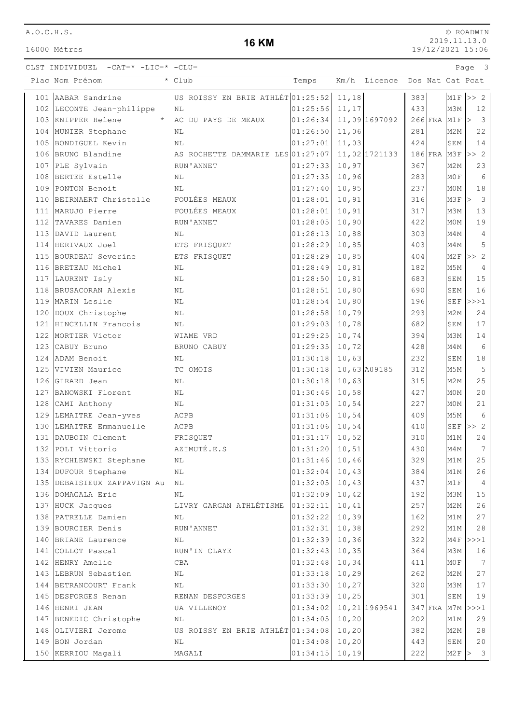16000 Mètres

### **16 KM**

© ROADWIN 2019.11.13.0 19/12/2021 15:06

CLST INDIVIDUEL  $-CAT=\star$  -LIC= $\star$  -CLU=

|     | Plac Nom Prénom               | * Club                            | Temps            | Km/h   | Licence       |     |                   |                  | Dos Nat Cat Pcat                  |
|-----|-------------------------------|-----------------------------------|------------------|--------|---------------|-----|-------------------|------------------|-----------------------------------|
|     | 101 AABAR Sandrine            | US ROISSY EN BRIE ATHLÉT 01:25:52 |                  | 11,18  |               | 383 |                   |                  | $M1F$ >> 2                        |
|     | 102 LECONTE Jean-philippe     | NL                                | 01:25:56         | 11,17  |               | 433 |                   | M3M              | 12                                |
|     | 103 KNIPPER Helene<br>$\star$ | AC DU PAYS DE MEAUX               | 01:26:34         |        | 11,09 1697092 |     | $266$ FRA M1F $>$ |                  | $\overline{\mathbf{3}}$           |
|     | 104 MUNIER Stephane           | NL                                | 01:26:50         | 11,06  |               | 281 |                   | M2M              | 22                                |
|     | 105 BONDIGUEL Kevin           | N <sub>L</sub>                    | 01:27:01         | 11,03  |               | 424 |                   | SEM              | 14                                |
|     | 106 BRUNO Blandine            | AS ROCHETTE DAMMARIE LES 01:27:07 |                  |        | 11,02 1721133 |     | $186$ FRA M3F     |                  | >> 2                              |
|     | 107 PLE Sylvain               | RUN'ANNET                         | 01:27:33         | 10,97  |               | 367 |                   | M <sub>2</sub> M | 23                                |
|     | 108 BERTEE Estelle            | NL                                | 01:27:35         | 10,96  |               | 283 |                   | MOF              | 6                                 |
|     | 109 PONTON Benoit             | NL                                | 01:27:40         | 10,95  |               | 237 |                   | M0M              | 18                                |
|     | 110 BEIRNAERT Christelle      | <b>FOULÉES MEAUX</b>              | 01:28:01         | 10,91  |               | 316 |                   | M3F              | $\overline{\mathbf{3}}$<br>$\geq$ |
|     | 111 MARUJO Pierre             | FOULÉES MEAUX                     | 01:28:01         | 10,91  |               | 317 |                   | M3M              | 13                                |
| 112 | TAVARES Damien                | RUN'ANNET                         | 01:28:05         | 10,90  |               | 422 |                   | M0M              | 19                                |
|     | 113 DAVID Laurent             | NL                                | 01:28:13         | 10,88  |               | 303 |                   | M4M              | $\overline{4}$                    |
|     | 114 HERIVAUX Joel             | ETS FRISQUET                      | 01:28:29         | 10,85  |               | 403 |                   | M4M              | 5                                 |
|     | 115 BOURDEAU Severine         | ETS FRISQUET                      | 01:28:29         | 10,85  |               | 404 |                   | M2F              | >> 2                              |
|     | 116 BRETEAU Michel            | NL                                | 01:28:49         | 10,81  |               | 182 |                   | M5M              | 4                                 |
|     | 117 LAURENT Isly              | NL                                | 01:28:50         | 10,81  |               | 683 |                   | SEM              | 15                                |
|     | 118 BRUSACORAN Alexis         | NL                                | 01:28:51         | 10,80  |               | 690 |                   | SEM              | 16                                |
|     | 119 MARIN Leslie              | NL                                | 01:28:54         | 10,80  |               | 196 |                   |                  | $SEF$ $>>$ $1$                    |
|     | 120 DOUX Christophe           | NL                                | 01:28:58         | 10,79  |               | 293 |                   | M2M              | 24                                |
|     | 121 HINCELLIN Francois        | NL                                | 01:29:03         | 10,78  |               | 682 |                   | SEM              | 17                                |
| 122 | MORTIER Victor                | WIAME VRD                         | 01:29:25         | 10,74  |               | 394 |                   | M3M              | 14                                |
|     | 123 CABUY Bruno               | BRUNO CABUY                       | 01:29:35         | 10,72  |               | 428 |                   | M4M              | 6                                 |
|     | 124 ADAM Benoit               | NL                                | 01:30:18         | 10,63  |               | 232 |                   | SEM              | $1\,8$                            |
|     | 125 VIVIEN Maurice            | TC OMOIS                          | 01:30:18         |        | 10,63 A09185  | 312 |                   | M5M              | 5                                 |
|     | 126 GIRARD Jean               | NL                                | 01:30:18         | 10,63  |               | 315 |                   | M2M              | 25                                |
|     | 127 BANOWSKI Florent          | NL                                | 01:30:46         | 10,58  |               | 427 |                   | M0M              | 20                                |
|     | 128 CAMI Anthony              | NL                                | 01:31:05         | 10,54  |               | 227 |                   | M0M              | 21                                |
|     | 129 LEMAITRE Jean-yves        | ACPB                              | 01:31:06         | 10,54  |               | 409 |                   | M5M              | 6                                 |
|     | 130 LEMAITRE Emmanuelle       | ACPB                              | 01:31:06         | 10,54  |               | 410 |                   | SEF              | >> 2                              |
|     | 131 DAUBOIN Clement           | FRISQUET                          | 01:31:17         | 10,52  |               | 310 |                   | M1M              | 24                                |
|     | 132 POLI Vittorio             | AZIMUTÉ.E.S                       | 01:31:20         | 10, 51 |               | 430 |                   | M4M              | 7                                 |
|     | 133 RYCHLEWSKI Stephane       | NL                                | 01:31:46 10,46   |        |               | 329 |                   | M1M              | 25                                |
|     | 134 DUFOUR Stephane           | NL                                | $01:32:04$ 10,43 |        |               | 384 |                   | M1M              | 26                                |
|     | 135 DEBAISIEUX ZAPPAVIGN Au   | <b>NL</b>                         | 01:32:05         | 10,43  |               | 437 |                   | M1F              | $\overline{4}$                    |
|     | 136 DOMAGALA Eric             | NL                                | 01:32:09         | 10,42  |               | 192 |                   | M3M              | $15$                              |
|     | 137 HUCK Jacques              | LIVRY GARGAN ATHLÉTISME           | 01:32:11         | 10,41  |               | 257 |                   | M2M              | 26                                |
|     | 138 PATRELLE Damien           | NL                                | 01:32:22         | 10,39  |               | 162 |                   | M1M              | $2\,7$                            |
|     | 139 BOURCIER Denis            | RUN'ANNET                         | 01:32:31         | 10, 38 |               | 292 |                   | M1M              | $28$                              |
|     | 140 BRIANE Laurence           | NL                                | 01:32:39         | 10, 36 |               | 322 |                   | M4F              | >>>1                              |
|     | 141 COLLOT Pascal             | RUN'IN CLAYE                      | 01:32:43         | 10, 35 |               | 364 |                   | M3M              | 16                                |
|     | 142 HENRY Amelie              | CBA                               | 01:32:48         | 10, 34 |               | 411 |                   | MOF              | $7\overline{ }$                   |
|     | 143 LEBRUN Sebastien          | $\rm NL$                          | 01:33:18         | 10,29  |               | 262 |                   | M2M              | 27                                |
|     | 144 BETRANCOURT Frank         | NL                                | 01:33:30         | 10,27  |               | 320 |                   | МЗМ              | $17$                              |
|     | 145 DESFORGES Renan           | RENAN DESFORGES                   | 01:33:39         | 10, 25 |               | 301 |                   | SEM              | 19                                |
|     | 146 HENRI JEAN                | UA VILLENOY                       | 01:34:02         |        | 10,21 1969541 |     | 347 FRA           |                  | $M7M$ $>>$ $1$                    |
|     | 147 BENEDIC Christophe        | ΝL                                | 01:34:05         | 10, 20 |               | 202 |                   | M1M              | 29                                |
|     | 148 OLIVIERI Jerome           | US ROISSY EN BRIE ATHLÉT 01:34:08 |                  | 10, 20 |               | 382 |                   | M2M              | 28                                |
|     | 149 BON Jordan                | NL                                | 01:34:08         | 10, 20 |               | 443 |                   | SEM              | $20$                              |
|     | 150 KERRIOU Magali            | MAGALI                            | 01:34:15         | 10, 19 |               | 222 |                   |                  | M2F > 3                           |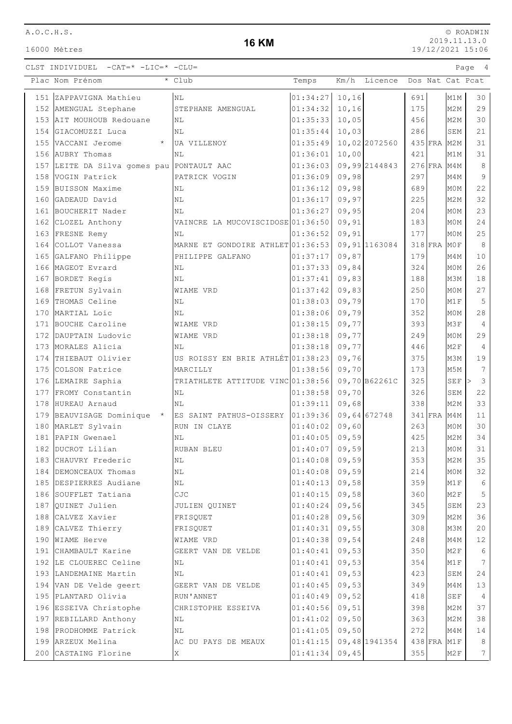16000 Mètres

## **16 KM**

© ROADWIN 2019.11.13.0 19/12/2021 15:06

|     | Plac Nom Prénom                           | * Club                            | Temps            |        | Km/h Licence   |     |             |                  | Dos Nat Cat Pcat |
|-----|-------------------------------------------|-----------------------------------|------------------|--------|----------------|-----|-------------|------------------|------------------|
|     | 151 ZAPPAVIGNA Mathieu                    | NL                                | 01:34:27         | 10, 16 |                | 691 |             | M1M              | 30               |
|     | 152 AMENGUAL Stephane                     | STEPHANE AMENGUAL                 | 01:34:32         | 10, 16 |                | 175 |             | M <sub>2M</sub>  | 29               |
|     | 153 AIT MOUHOUB Redouane                  | NL                                | 01:35:33         | 10,05  |                | 456 |             | M <sub>2</sub> M | 30               |
|     | 154 GIACOMUZZI Luca                       | <b>NL</b>                         | 01:35:44         | 10,03  |                | 286 |             | SEM              | 21               |
|     | 155 VACCANI Jerome<br>$\star$             | UA VILLENOY                       | 01:35:49         |        | 10,02 2072560  |     | 435 FRA M2M |                  | 31               |
|     | 156 AUBRY Thomas                          | NL                                | 01:36:01         | 10,00  |                | 421 |             | M1M              | 31               |
|     | 157 LEITE DA Silva gomes pau PONTAULT AAC |                                   | 01:36:03         |        | 09,99 2144843  |     | 276 FRA M4M |                  | 8                |
|     | 158 VOGIN Patrick                         | PATRICK VOGIN                     | 01:36:09         | 09,98  |                | 297 |             | M4M              | 9                |
| 159 | BUISSON Maxime                            | NL                                | 01:36:12         | 09,98  |                | 689 |             | M0M              | 22               |
| 160 | GADEAUD David                             | NL                                | 01:36:17         | 09,97  |                | 225 |             | M2M              | 32               |
| 161 | BOUCHERIT Nader                           | NL                                | 01:36:27         | 09,95  |                | 204 |             | M0M              | 23               |
|     | 162 CLOZEL Anthony                        | VAINCRE LA MUCOVISCIDOSE 01:36:50 |                  | 09,91  |                | 183 |             | M <sub>0</sub> M | 24               |
|     | 163 FRESNE Remy                           | NL                                | 01:36:52         | 09, 91 |                | 177 |             | M0M              | 25               |
|     | 164 COLLOT Vanessa                        | MARNE ET GONDOIRE ATHLET 01:36:53 |                  |        | 09, 91 1163084 |     | 318 FRA MOF |                  | 8                |
|     | 165 GALFANO Philippe                      | PHILIPPE GALFANO                  | 01:37:17         | 09,87  |                | 179 |             | M4M              | 10               |
|     | 166 MAGEOT Evrard                         | NL                                | 01:37:33         | 09,84  |                | 324 |             | M0M              | 26               |
|     | 167 BORDET Regis                          | NL                                | 01:37:41         | 09,83  |                | 188 |             | M3M              | 18               |
|     | 168 FRETUN Sylvain                        | WIAME VRD                         | 01:37:42         | 09,83  |                | 250 |             | M0M              | 27               |
| 169 | THOMAS Celine                             | ΝL                                | 01:38:03         | 09,79  |                | 170 |             | M1F              | 5                |
| 170 | MARTIAL Loic                              | NL                                | 01:38:06         | 09,79  |                | 352 |             | M <sub>0</sub> M | 28               |
| 171 | BOUCHE Caroline                           | WIAME VRD                         | 01:38:15         | 09,77  |                | 393 |             | M3F              | 4                |
|     | 172 DAUPTAIN Ludovic                      | WIAME VRD                         | 01:38:18         | 09,77  |                | 249 |             | M <sub>0</sub> M | 29               |
|     | 173 MORALES Alicia                        | NL                                | 01:38:18         | 09,77  |                | 446 |             | M <sub>2F</sub>  | 4                |
|     | 174 THIEBAUT Olivier                      | US ROISSY EN BRIE ATHLÉT 01:38:23 |                  | 09,76  |                | 375 |             | M3M              | 19               |
|     | 175 COLSON Patrice                        | MARCILLY                          | 01:38:56         | 09,70  |                | 173 |             | M5M              | 7                |
|     | 176 LEMAIRE Saphia                        | TRIATHLETE ATTITUDE VINC 01:38:56 |                  |        | 09,70 B62261C  | 325 |             | SEF              | 3                |
|     | 177 FROMY Constantin                      | NL                                | 01:38:58         | 09,70  |                | 326 |             | SEM              | 22               |
| 178 | HUREAU Arnaud                             | NL                                | 01:39:11         | 09,68  |                | 338 |             | M <sub>2M</sub>  | 33               |
|     | 179 BEAUVISAGE Dominique *                | ES SAINT PATHUS-OISSERY           | 01:39:36         |        | 09,64 672748   |     | $341$ FRA   | M4M              | 11               |
| 180 | MARLET Sylvain                            | RUN IN CLAYE                      | 01:40:02         | 09,60  |                | 263 |             | M0M              | 30               |
| 181 | PAPIN Gwenael                             | NL                                | 01:40:05         | 09,59  |                | 425 |             | M2M              | 34               |
|     | 182 DUCROT Lilian                         | RUBAN BLEU                        | 01:40:07         | 09,59  |                | 213 |             | M0M              | 31               |
| 183 | CHAUVRY Frederic                          | NL                                | $01:40:08$ 09,59 |        |                | 353 |             | M <sub>2</sub> M | 35               |
| 184 | DEMONCEAUX Thomas                         | ΝL                                | 01:40:08         | 09,59  |                | 214 |             | M0M              | 32               |
|     | 185 DESPIERRES Audiane                    | $\rm NL$                          | 01:40:13         | 09,58  |                | 359 |             | M1F              | 6                |
|     | 186 SOUFFLET Tatiana                      | CJC                               | 01:40:15         | 09,58  |                | 360 |             | M <sub>2</sub> F | 5                |
|     | 187 OUINET Julien                         | JULIEN QUINET                     | 01:40:24         | 09,56  |                | 345 |             | SEM              | 23               |
|     | 188 CALVEZ Xavier                         | FRISQUET                          | 01:40:28         | 09,56  |                | 309 |             | M <sub>2</sub> M | 36               |
|     | 189 CALVEZ Thierry                        | FRISQUET                          | 01:40:31         | 09,55  |                | 308 |             | МЗМ              | 20               |
|     | 190 WIAME Herve                           | WIAME VRD                         | 01:40:38         | 09,54  |                | 248 |             | M4M              | 12               |
|     | 191 CHAMBAULT Karine                      | GEERT VAN DE VELDE                | 01:40:41         | 09,53  |                | 350 |             | M <sub>2F</sub>  | 6                |
|     | 192 LE CLOUEREC Celine                    | NL                                | 01:40:41         | 09,53  |                | 354 |             | M1F              | 7                |
|     | 193 LANDEMAINE Martin                     | NL                                | 01:40:41         | 09,53  |                | 423 |             | SEM              | 24               |
|     | 194 VAN DE Velde geert                    | GEERT VAN DE VELDE                | 01:40:45         | 09,53  |                | 349 |             | M4M              | 13               |
|     | 195 PLANTARD Olivia                       | RUN'ANNET                         | 01:40:49         | 09,52  |                | 418 |             | <b>SEF</b>       | 4                |
|     | 196 ESSEIVA Christophe                    | CHRISTOPHE ESSEIVA                | 01:40:56         | 09,51  |                | 398 |             | M <sub>2</sub> M | 37               |
|     | 197 REBILLARD Anthony                     | NL                                | 01:41:02         | 09,50  |                | 363 |             | M <sub>2</sub> M | 38               |
|     | 198 PRODHOMME Patrick                     | ΝL                                | 01:41:05         | 09,50  |                | 272 |             | M4M              | 14               |
|     | 199 ARZEUX Melina                         | AC DU PAYS DE MEAUX               | 01:41:15         |        | 09,48 1941354  |     | 438 FRA M1F |                  | 8                |
|     | 200 CASTAING Florine                      | Χ                                 | 01:41:34         | 09,45  |                | 355 |             | M2F              | 7                |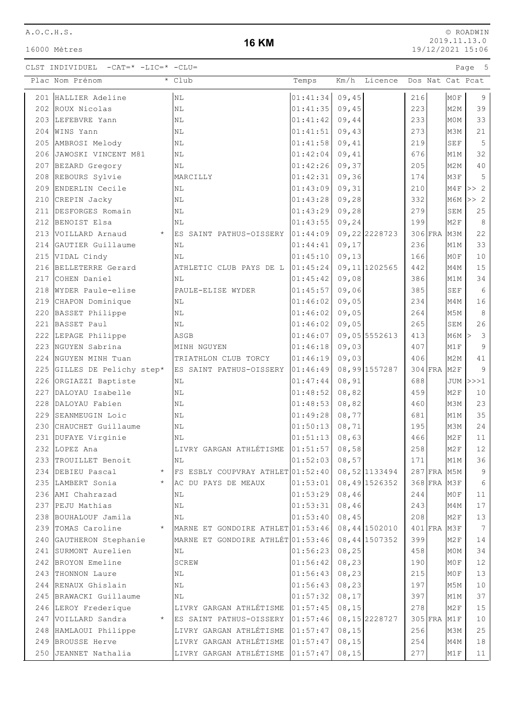| A.O.C.H.S. |  |  |  |  |  |
|------------|--|--|--|--|--|
|            |  |  |  |  |  |

16000 Mètres

#### **16 KM**

© ROADWIN 2019.11.13.0 19/12/2021 15:06

| Plac Nom Prénom                | $\overline{\cdot$ Club                     | Temps    |        | Km/h Licence   |     |             |                  | Dos Nat Cat Pcat |
|--------------------------------|--------------------------------------------|----------|--------|----------------|-----|-------------|------------------|------------------|
| 201 HALLIER Adeline            | $\rm NL$                                   | 01:41:34 | 09,45  |                | 216 |             | MOF              | 9                |
| 202 ROUX Nicolas               | N <sub>L</sub>                             | 01:41:35 | 09,45  |                | 223 |             | M <sub>2</sub> M | 39               |
| 203 LEFEBVRE Yann              | NL                                         | 01:41:42 | 09,44  |                | 233 |             | M0M              | 33               |
| 204 WINS Yann                  | NL                                         | 01:41:51 | 09,43  |                | 273 |             | M3M              | 21               |
| 205 AMBROSI Melody             | NL                                         | 01:41:58 | 09,41  |                | 219 |             | <b>SEF</b>       | 5                |
| 206 JAWOSKI VINCENT M81        | NL                                         | 01:42:04 | 09,41  |                | 676 |             | M1M              | 32               |
| 207 BEZARD Gregory             | NL                                         | 01:42:26 | 09,37  |                | 205 |             | M <sub>2</sub> M | 40               |
| 208 REBOURS Sylvie             | MARCILLY                                   | 01:42:31 | 09, 36 |                | 174 |             | M3F              | 5                |
| 209 ENDERLIN Cecile            | NL                                         | 01:43:09 | 09,31  |                | 210 |             | M4F              | >> 2             |
| 210 CREPIN Jacky               | NL                                         | 01:43:28 | 09,28  |                | 332 |             | M6M              | >> 2             |
| 211 DESFORGES Romain           | N <sub>L</sub>                             | 01:43:29 | 09,28  |                | 279 |             | SEM              | 25               |
| 212 BENOIST Elsa               | NL                                         | 01:43:55 | 09, 24 |                | 199 |             | M <sub>2F</sub>  | 8                |
| 213 VOILLARD Arnaud<br>$\star$ | ES SAINT PATHUS-OISSERY 01:44:09           |          |        | 09, 22 2228723 |     | 306 FRA M3M |                  | 22               |
| 214 GAUTIER Guillaume          | NL                                         | 01:44:41 | 09,17  |                | 236 |             | M1M              | 33               |
| 215 VIDAL Cindy                | $\rm NL$                                   | 01:45:10 | 09, 13 |                | 166 |             | MOF              | $10$             |
| 216 BELLETERRE Gerard          | ATHLETIC CLUB PAYS DE L $ 01:45:24\rangle$ |          |        | 09, 11 1202565 | 442 |             | M4M              | 15               |
| 217 COHEN Daniel               | NL                                         | 01:45:42 | 09,08  |                | 386 |             | M1M              | 34               |
| 218 WYDER Paule-elise          | PAULE-ELISE WYDER                          | 01:45:57 | 09,06  |                | 385 |             | SEF              | 6                |
| 219 CHAPON Dominique           | NL                                         | 01:46:02 | 09,05  |                | 234 |             | M4M              | 16               |
| 220 BASSET Philippe            | NL                                         | 01:46:02 | 09,05  |                | 264 |             | M5M              | $\,8\,$          |
| 221 BASSET Paul                | NL                                         | 01:46:02 | 09,05  |                | 265 |             | SEM              | 26               |
| 222 LEPAGE Philippe            | ASGB                                       | 01:46:07 |        | 09,05 5552613  | 413 |             | M6M              | 3<br>$\geq$      |
| 223 NGUYEN Sabrina             | MINH NGUYEN                                | 01:46:18 | 09,03  |                | 407 |             | M1F              | 9                |
| 224 NGUYEN MINH Tuan           | TRIATHLON CLUB TORCY                       | 01:46:19 | 09,03  |                | 406 |             | M <sub>2</sub> M | 41               |
| 225 GILLES DE Pelichy step*    | ES SAINT PATHUS-OISSERY                    | 01:46:49 |        | 08,99 1557287  |     | 304 FRA M2F |                  | 9                |
| 226 ORGIAZZI Baptiste          | NL                                         | 01:47:44 | 08,91  |                | 688 |             | JUM              | >>>1             |
| 227 DALOYAU Isabelle           | N <sub>L</sub>                             | 01:48:52 | 08,82  |                | 459 |             | M <sub>2F</sub>  | 10               |
| 228 DALOYAU Fabien             | $\rm NL$                                   | 01:48:53 | 08,82  |                | 460 |             | M3M              | 23               |
| 229 SEANMEUGIN Loic            | N <sub>L</sub>                             | 01:49:28 | 08,77  |                | 681 |             | M1M              | 35               |
| 230 CHAUCHET Guillaume         | $\rm NL$                                   | 01:50:13 | 08, 71 |                | 195 |             | M3M              | 24               |
| 231 DUFAYE Virginie            | NL                                         | 01:51:13 | 08,63  |                | 466 |             | M2F              | 11               |
| 232 LOPEZ Ana                  | LIVRY GARGAN ATHLÉTISME 01:51:57           |          | 08,58  |                | 258 |             | M <sub>2F</sub>  | 12               |
| 233 TROUILLET Benoit           | NL                                         | 01:52:03 | 08,57  |                | 171 |             | M1M              | 36               |
| 234 DEBIEU Pascal<br>$^\star$  | FS ESBLY COUPVRAY ATHLET 01:52:40          |          |        | 08,52 1133494  |     | 287 FRA M5M |                  | 9                |
| 235 LAMBERT Sonia<br>$\star$   | AC DU PAYS DE MEAUX                        | 01:53:01 |        | 08,49 1526352  |     | 368 FRA M3F |                  | 6                |
| 236 AMI Chahrazad              | NL                                         | 01:53:29 | 08,46  |                | 244 |             | MOF              | 11               |
| 237 PEJU Mathias               | NL                                         | 01:53:31 | 08,46  |                | 243 |             | M4M              | 17               |
| 238 BOUHALOUF Jamila           | NL                                         | 01:53:40 | 08,45  |                | 208 |             | M2F              | 13               |
| 239 TOMAS Caroline             | MARNE ET GONDOIRE ATHLET 01:53:46          |          |        | 08,44 1502010  |     | 401 FRA M3F |                  | 7                |
| 240 GAUTHERON Stephanie        | MARNE ET GONDOIRE ATHLÉT 01:53:46          |          |        | 08, 44 1507352 | 399 |             | M <sub>2F</sub>  | 14               |
| 241 SURMONT Aurelien           | NL                                         | 01:56:23 | 08, 25 |                | 458 |             | M0M              | 34               |
| 242 BROYON Emeline             | SCREW                                      | 01:56:42 | 08, 23 |                | 190 |             | MOF              | 12               |
| 243 THONNON Laure              | ΝL                                         | 01:56:43 | 08, 23 |                | 215 |             | MOF              | 13               |
| 244 RENAUX Ghislain            | NL                                         | 01:56:43 | 08, 23 |                | 197 |             | M5M              | 10               |
| 245 BRAWACKI Guillaume         | ΝL                                         | 01:57:32 | 08, 17 |                | 397 |             | M1M              | 37               |
| 246 LEROY Frederique           | LIVRY GARGAN ATHLÉTISME                    | 01:57:45 | 08, 15 |                | 278 |             | M2F              | 15               |
| 247 VOILLARD Sandra<br>$\star$ | ES SAINT PATHUS-OISSERY 01:57:46           |          |        | 08, 15 2228727 |     | 305 FRA M1F |                  | 10               |
| 248 HAMLAOUI Philippe          | LIVRY GARGAN ATHLÉTISME                    | 01:57:47 | 08, 15 |                | 256 |             | M3M              | $25$             |
| 249 BROUSSE Herve              | LIVRY GARGAN ATHLÉTISME                    | 01:57:47 | 08, 15 |                | 254 |             | M4M              | 18               |
| 250 JEANNET Nathalia           | LIVRY GARGAN ATHLÉTISME                    | 01:57:47 | 08, 15 |                | 277 |             | M1F              | 11               |
|                                |                                            |          |        |                |     |             |                  |                  |